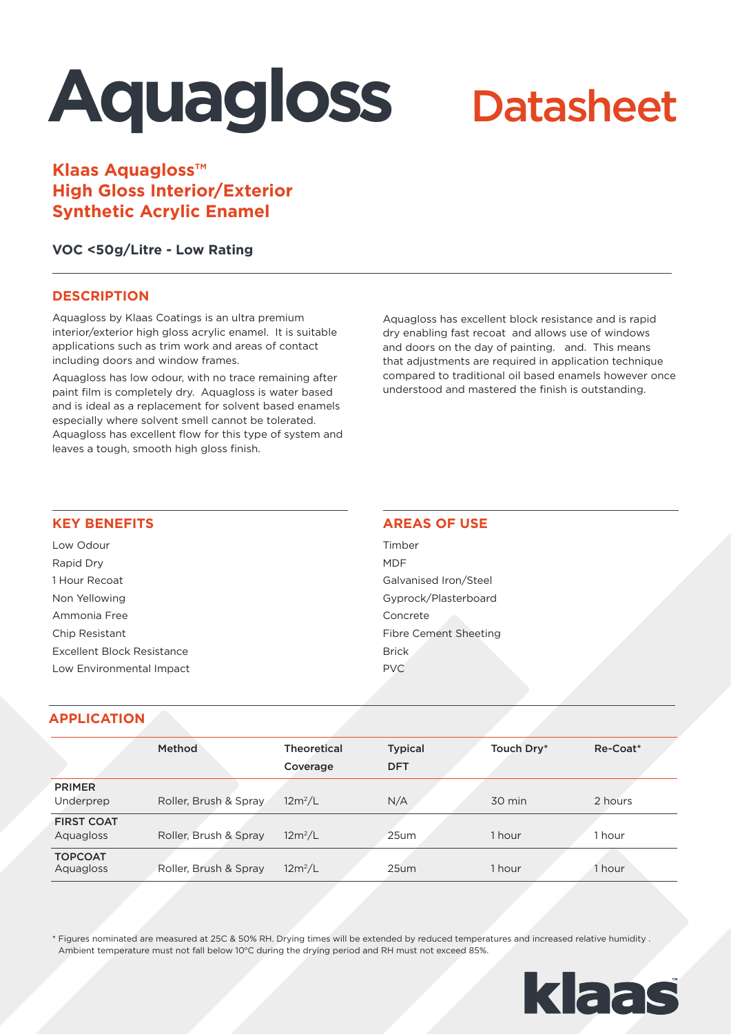# **Aquagloss**

# **Datasheet**

**Klaas Aquagloss™ High Gloss Interior/Exterior Synthetic Acrylic Enamel**

# **VOC <50g/Litre - Low Rating**

# **DESCRIPTION**

Aquagloss by Klaas Coatings is an ultra premium interior/exterior high gloss acrylic enamel. It is suitable applications such as trim work and areas of contact including doors and window frames.

Aquagloss has low odour, with no trace remaining after paint film is completely dry. Aquagloss is water based and is ideal as a replacement for solvent based enamels especially where solvent smell cannot be tolerated. Aquagloss has excellent flow for this type of system and leaves a tough, smooth high gloss finish.

Aquagloss has excellent block resistance and is rapid dry enabling fast recoat and allows use of windows and doors on the day of painting. and. This means that adjustments are required in application technique compared to traditional oil based enamels however once understood and mastered the finish is outstanding.

#### **KEY BENEFITS**

Low Odour Rapid Dry 1 Hour Recoat Non Yellowing Ammonia Free Chip Resistant Excellent Block Resistance Low Environmental Impact

# **AREAS OF USE**

Timber MDF Galvanised Iron/Steel Gyprock/Plasterboard Concrete Fibre Cement Sheeting Brick PVC

# **APPLICATION**

|                                | <b>Method</b>         | <b>Theoretical</b><br>Coverage | <b>Typical</b><br><b>DFT</b> | Touch Dry* | Re-Coat* |
|--------------------------------|-----------------------|--------------------------------|------------------------------|------------|----------|
| <b>PRIMER</b><br>Underprep     | Roller, Brush & Spray | $12m^2/L$                      | N/A                          | 30 min     | 2 hours  |
| <b>FIRST COAT</b><br>Aquagloss | Roller, Brush & Spray | $12m^2/L$                      | 25um                         | 1 hour     | 1 hour   |
| <b>TOPCOAT</b><br>Aquagloss    | Roller, Brush & Spray | $12m^2/L$                      | 25um                         | 1 hour     | 1 hour   |

\* Figures nominated are measured at 25C & 50% RH. Drying times will be extended by reduced temperatures and increased relative humidity . Ambient temperature must not fall below 10°C during the drying period and RH must not exceed 85%.